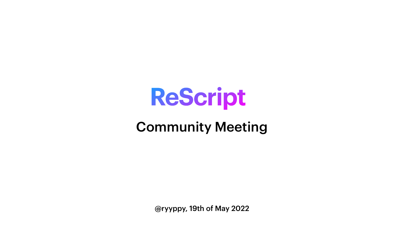@ryyppy, 19th of May 2022





# **ReScript** Community Meeting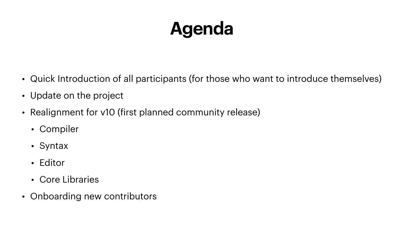### **Agenda**

• Quick Introduction of all participants (for those who want to introduce themselves)





- 
- Update on the project
- Realignment for v10 (first planned community release)
	- Compiler
	- Syntax
	- Editor
	- Core Libraries
- Onboarding new contributors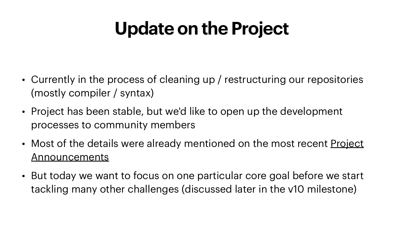### **Update on the Project**

- Currently in the process of cleaning up / restructuring our repositories (mostly compiler / syntax)
- Project has been stable, but we'd like to open up the development processes to community members
- Most of the details were already mentioned on the most recent Project **[Announcements](https://forum.rescript-lang.org/t/ann-project-update-april-2022/3279)**
- But today we want to focus on one particular core goal before we start tackling many other challenges (discussed later in the v10 milestone)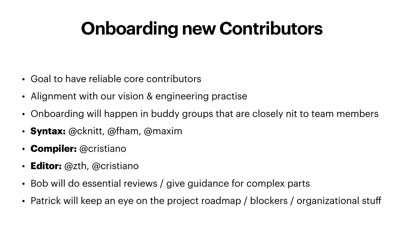## **Onboarding new Contributors**

- Goal to have reliable core contributors
- Alignment with our vision & engineering practise
- Onboarding will happen in buddy groups that are closely nit to team members
- **Syntax:** @cknitt, @fham, @maxim
- **Compiler:** @cristiano
- **Editor:** @zth, @cristiano
- Bob will do essential reviews / give guidance for complex parts
- Patrick will keep an eye on the project roadmap / blockers / organizational stuff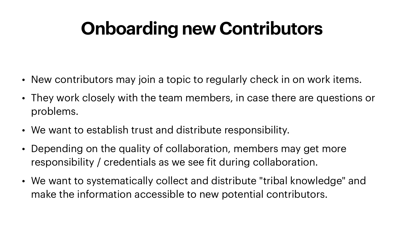### **Onboarding new Contributors**

- 
- New contributors may join a topic to regularly check in on work items. • They work closely with the team members, in case there are questions or problems.
- We want to establish trust and distribute responsibility.
- Depending on the quality of collaboration, members may get more responsibility / credentials as we see fit during collaboration.
- We want to systematically collect and distribute "tribal knowledge" and make the information accessible to new potential contributors.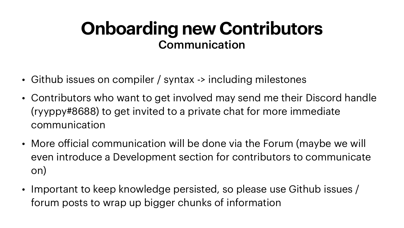#### **Onboarding new Contributors** Communication

- Github issues on compiler / syntax -> including milestones
- Contributors who want to get involved may send me their Discord handle (ryyppy#8688) to get invited to a private chat for more immediate communication
- More official communication will be done via the Forum (maybe we will even introduce a Development section for contributors to communicate on)
- Important to keep knowledge persisted, so please use Github issues / forum posts to wrap up bigger chunks of information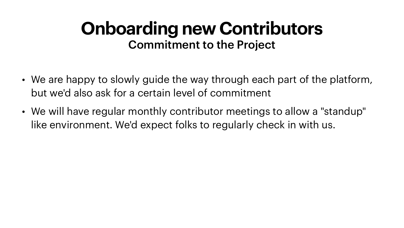#### **Onboarding new Contributors** Commitment to the Project

- We are happy to slowly guide the way through each part of the platform, but we'd also ask for a certain level of commitment
- We will have regular monthly contributor meetings to allow a "standup" like environment. We'd expect folks to regularly check in with us.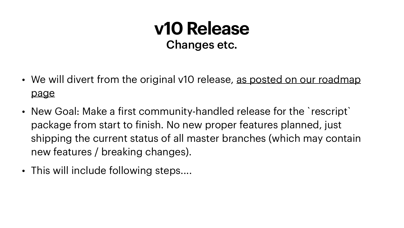#### **v10 Release** Changes etc.

- [page](https://rescript-lang.org/community/roadmap#stable-release-v10)
- New Goal: Make a first community-handled release for the `rescript` package from start to finish. No new proper features planned, just new features / breaking changes).
- This will include following steps....

• We will divert from the original v10 release, as posted on our roadmap

shipping the current status of all master branches (which may contain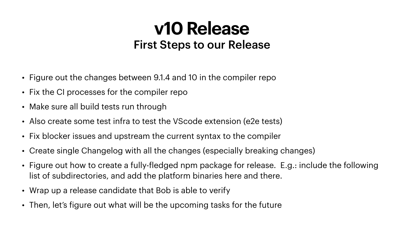#### **v10 Release** First Steps to our Release

- Figure out the changes between 9.1.4 and 10 in the compiler repo
- Fix the CI processes for the compiler repo
- Make sure all build tests run through
- Also create some test infra to test the VScode extension (e2e tests)
- Fix blocker issues and upstream the current syntax to the compiler
- Create single Changelog with all the changes (especially breaking changes)
- Figure out how to create a fully-fledged npm package for release. E.g.: include the following list of subdirectories, and add the platform binaries here and there.
- Wrap up a release candidate that Bob is able to verify
- Then, let's figure out what will be the upcoming tasks for the future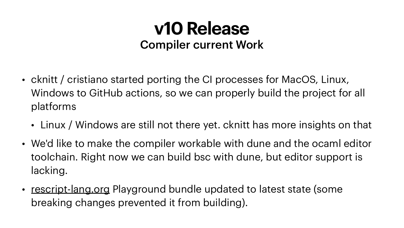#### **v10 Release** Compiler current Work

Windows to GitHub actions, so we can properly build the project for all

• Linux / Windows are still not there yet. cknitt has more insights on that

- cknitt / cristiano started porting the CI processes for MacOS, Linux, platforms
	-
- lacking.
- [rescript-lang.org](http://rescript-lang.org) Playground bundle updated to latest state (some breaking changes prevented it from building).

• We'd like to make the compiler workable with dune and the ocaml editor toolchain. Right now we can build bsc with dune, but editor support is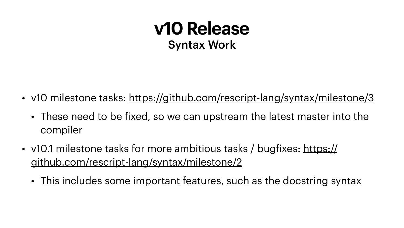#### **v10 Release** Syntax Work

- v10 milestone tasks: <https://github.com/rescript-lang/syntax/milestone/3>
	- These need to be fixed, so we can upstream the latest master into the compiler
- v10.1 milestone tasks for more ambitious tasks / bugfixes: [https://](https://github.com/rescript-lang/syntax/milestone/2) [github.com/rescript-lang/syntax/milestone/2](https://github.com/rescript-lang/syntax/milestone/2)
	- This includes some important features, such as the docstring syntax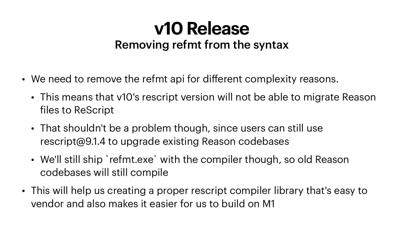#### **v10 Release** Removing refmt from the syntax

- We need to remove the refmt api for different complexity reasons.
	- This means that v10's rescript version will not be able to migrate Reason files to ReScript
	- That shouldn't be a problem though, since users can still use rescript@9.1.4 to upgrade existing Reason codebases
	- We'll still ship `refmt.exe` with the compiler though, so old Reason codebases will still compile
- This will help us creating a proper rescript compiler library that's easy to vendor and also makes it easier for us to build on M1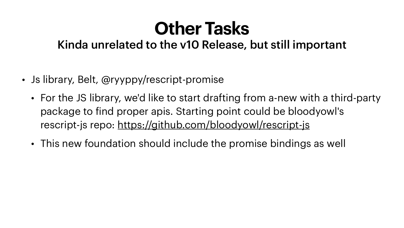#### **Other Tasks** Kinda unrelated to the v10 Release, but still important

- Js library, Belt, @ryyppy/rescript-promise
	- For the JS library, we'd like to start drafting from a-new with a third-party package to find proper apis. Starting point could be bloodyowl's rescript-js repo:<https://github.com/bloodyowl/rescript-js>
	- This new foundation should include the promise bindings as well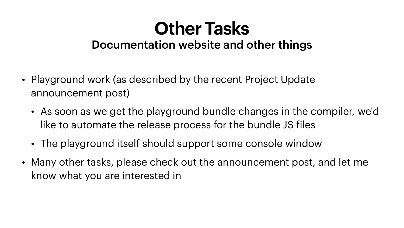#### **Other Tasks** Documentation website and other things

- Playground work (as described by the recent Project Update announcement post)
	- As soon as we get the playground bundle changes in the compiler, we'd like to automate the release process for the bundle JS files
	- The playground itself should support some console window
- Many other tasks, please check out the announcement post, and let me know what you are interested in